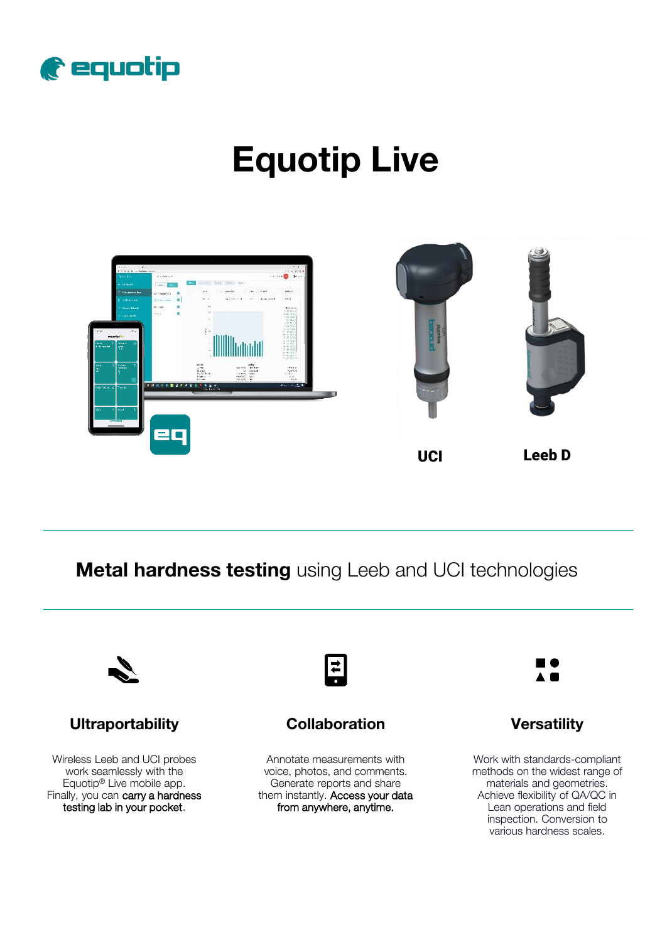

# **Equotip Live**



**Metal hardness testing** using Leeb and UCI technologies



## **Ultraportability**

Wireless Leeb and UCI probes work seamlessly with the Equotip® Live mobile app. Finally, you can carry a hardness testing lab in your pocket.



## **Collaboration Versatility**

Annotate measurements with voice, photos, and comments. Generate reports and share them instantly. Access your data from anywhere, anytime.



Work with standards-compliant methods on the widest range of materials and geometries. Achieve flexibility of QA/QC in Lean operations and field inspection. Conversion to various hardness scales.